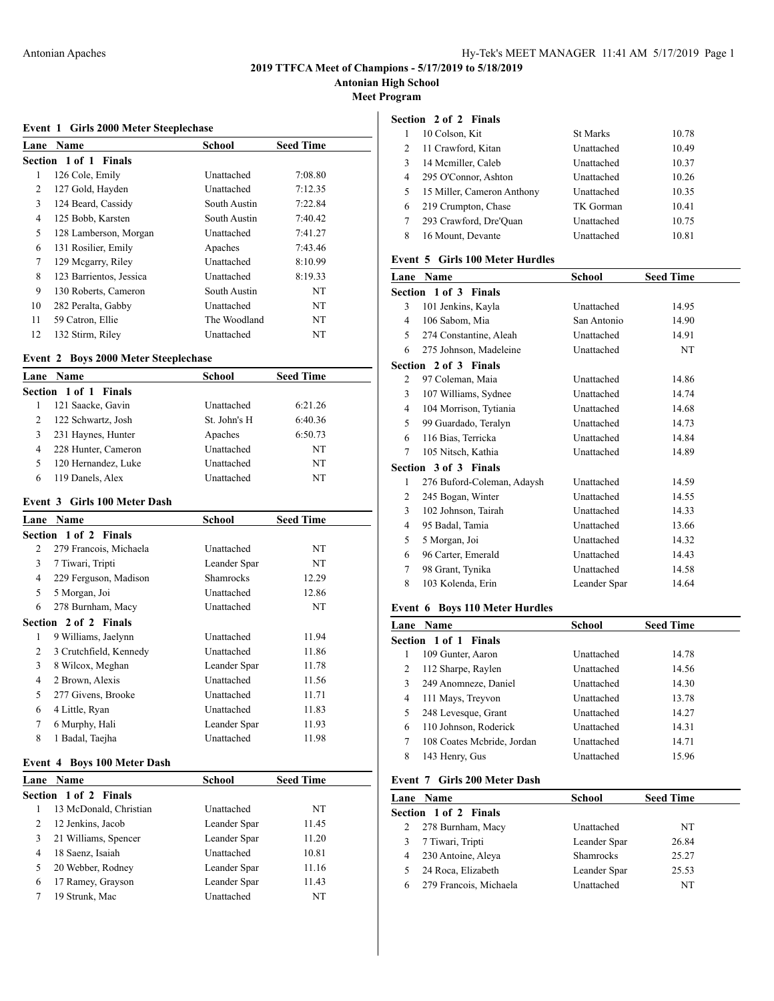**Antonian High School**

**Meet Program**

### **Event 1 Girls 2000 Meter Steeplechase**

| <b>Name</b>             | <b>School</b> | <b>Seed Time</b> |  |
|-------------------------|---------------|------------------|--|
| Section 1 of 1 Finals   |               |                  |  |
| 126 Cole, Emily         | Unattached    | 7:08.80          |  |
| 127 Gold, Hayden        | Unattached    | 7:12.35          |  |
| 124 Beard, Cassidy      | South Austin  | 7:22.84          |  |
| 125 Bobb, Karsten       | South Austin  | 7:40.42          |  |
| 128 Lamberson, Morgan   | Unattached    | 7:41.27          |  |
| 131 Rosilier, Emily     | Apaches       | 7:43.46          |  |
| 129 Megarry, Riley      | Unattached    | 8:10.99          |  |
| 123 Barrientos, Jessica | Unattached    | 8:19.33          |  |
| 130 Roberts, Cameron    | South Austin  | NT               |  |
| 282 Peralta, Gabby      | Unattached    | NT               |  |
| 59 Catron, Ellie        | The Woodland  | NT               |  |
| 132 Stirm, Riley        | Unattached    | NT               |  |
|                         |               |                  |  |

### **Event 2 Boys 2000 Meter Steeplechase**

|   | Lane Name             | <b>School</b> | <b>Seed Time</b> |  |
|---|-----------------------|---------------|------------------|--|
|   | Section 1 of 1 Finals |               |                  |  |
|   | 121 Saacke, Gavin     | Unattached    | 6:21.26          |  |
| 2 | 122 Schwartz, Josh    | St. John's H  | 6:40.36          |  |
| 3 | 231 Haynes, Hunter    | Apaches       | 6:50.73          |  |
| 4 | 228 Hunter, Cameron   | Unattached    | NT               |  |
| 5 | 120 Hernandez, Luke   | Unattached    | NT               |  |
| 6 | 119 Danels, Alex      | Unattached    | NT               |  |

### **Event 3 Girls 100 Meter Dash**

| Lane | Name                   | <b>School</b>    | <b>Seed Time</b> |
|------|------------------------|------------------|------------------|
|      | Section 1 of 2 Finals  |                  |                  |
| 2    | 279 Francois, Michaela | Unattached       | NT               |
| 3    | 7 Tiwari, Tripti       | Leander Spar     | NT               |
| 4    | 229 Ferguson, Madison  | <b>Shamrocks</b> | 12.29            |
| 5    | 5 Morgan, Joi          | Unattached       | 12.86            |
| 6    | 278 Burnham, Macy      | Unattached       | NT               |
|      | Section 2 of 2 Finals  |                  |                  |
| 1    | 9 Williams, Jaelynn    | Unattached       | 11.94            |
| 2    | 3 Crutchfield, Kennedy | Unattached       | 11.86            |
| 3    | 8 Wilcox, Meghan       | Leander Spar     | 11.78            |
| 4    | 2 Brown, Alexis        | Unattached       | 11.56            |
| 5    | 277 Givens, Brooke     | Unattached       | 11.71            |
| 6    | 4 Little, Ryan         | Unattached       | 11.83            |
| 7    | 6 Murphy, Hali         | Leander Spar     | 11.93            |
| 8    | 1 Badal, Taejha        | Unattached       | 11.98            |

### **Event 4 Boys 100 Meter Dash**

|   | Lane Name              | School       | <b>Seed Time</b> |
|---|------------------------|--------------|------------------|
|   | Section 1 of 2 Finals  |              |                  |
|   | 13 McDonald, Christian | Unattached   | NT               |
|   | 12 Jenkins, Jacob      | Leander Spar | 11.45            |
| 3 | 21 Williams, Spencer   | Leander Spar | 11.20            |
| 4 | 18 Saenz, Isaiah       | Unattached   | 10.81            |
| 5 | 20 Webber, Rodney      | Leander Spar | 11.16            |
| 6 | 17 Ramey, Grayson      | Leander Spar | 11.43            |
|   | 19 Strunk, Mac         | Unattached   | NT               |

# **Section 2 of 2 Finals**

|               | 10 Colson, Kit             | <b>St Marks</b> | 10.78 |
|---------------|----------------------------|-----------------|-------|
| 2             | 11 Crawford, Kitan         | Unattached      | 10.49 |
| $\mathcal{F}$ | 14 Mcmiller, Caleb         | Unattached      | 10.37 |
| 4             | 295 O'Connor, Ashton       | Unattached      | 10.26 |
| 5             | 15 Miller, Cameron Anthony | Unattached      | 10.35 |
| 6             | 219 Crumpton, Chase        | TK Gorman       | 10.41 |
|               | 293 Crawford, Dre'Ouan     | Unattached      | 10.75 |
| 8             | 16 Mount, Devante          | Unattached      | 10.81 |

### **Event 5 Girls 100 Meter Hurdles**

| Lane           | <b>Name</b>                  | School       | <b>Seed Time</b> |
|----------------|------------------------------|--------------|------------------|
|                | <b>Section 1 of 3 Finals</b> |              |                  |
| 3              | 101 Jenkins, Kayla           | Unattached   | 14.95            |
| 4              | 106 Sabom, Mia               | San Antonio  | 14.90            |
| 5              | 274 Constantine, Aleah       | Unattached   | 14.91            |
| 6              | 275 Johnson, Madeleine       | Unattached   | NT               |
|                | <b>Section 2 of 3 Finals</b> |              |                  |
| $\overline{2}$ | 97 Coleman, Maia             | Unattached   | 14.86            |
| 3              | 107 Williams, Sydnee         | Unattached   | 14.74            |
| 4              | 104 Morrison, Tytiania       | Unattached   | 14.68            |
| 5              | 99 Guardado, Teralyn         | Unattached   | 14.73            |
| 6              | 116 Bias, Terricka           | Unattached   | 14.84            |
| 7              | 105 Nitsch, Kathia           | Unattached   | 14.89            |
|                | <b>Section 3 of 3 Finals</b> |              |                  |
| 1              | 276 Buford-Coleman, Adaysh   | Unattached   | 14.59            |
| 2              | 245 Bogan, Winter            | Unattached   | 14.55            |
| 3              | 102 Johnson, Tairah          | Unattached   | 14.33            |
| 4              | 95 Badal, Tamia              | Unattached   | 13.66            |
| 5              | 5 Morgan, Joi                | Unattached   | 14.32            |
| 6              | 96 Carter, Emerald           | Unattached   | 14.43            |
| 7              | 98 Grant, Tynika             | Unattached   | 14.58            |
| 8              | 103 Kolenda, Erin            | Leander Spar | 14.64            |
|                |                              |              |                  |

### **Event 6 Boys 110 Meter Hurdles**

|   | Lane Name                  | School     | <b>Seed Time</b> |  |
|---|----------------------------|------------|------------------|--|
|   | Section 1 of 1 Finals      |            |                  |  |
|   | 109 Gunter, Aaron          | Unattached | 14.78            |  |
| 2 | 112 Sharpe, Raylen         | Unattached | 14.56            |  |
| 3 | 249 Anomneze, Daniel       | Unattached | 14.30            |  |
| 4 | 111 Mays, Treyvon          | Unattached | 13.78            |  |
| 5 | 248 Levesque, Grant        | Unattached | 14.27            |  |
| 6 | 110 Johnson, Roderick      | Unattached | 14.31            |  |
| 7 | 108 Coates Mcbride, Jordan | Unattached | 14.71            |  |
| 8 | 143 Henry, Gus             | Unattached | 15.96            |  |

# **Event 7 Girls 200 Meter Dash**

|   | <b>Lane Name</b>       | School       | <b>Seed Time</b> |
|---|------------------------|--------------|------------------|
|   | Section 1 of 2 Finals  |              |                  |
|   | 278 Burnham, Macy      | Unattached   | NT               |
|   | 7 Tiwari, Tripti       | Leander Spar | 26.84            |
| 4 | 230 Antoine, Aleya     | Shamrocks    | 25.27            |
|   | 24 Roca, Elizabeth     | Leander Spar | 25.53            |
| 6 | 279 Francois, Michaela | Unattached   | NT               |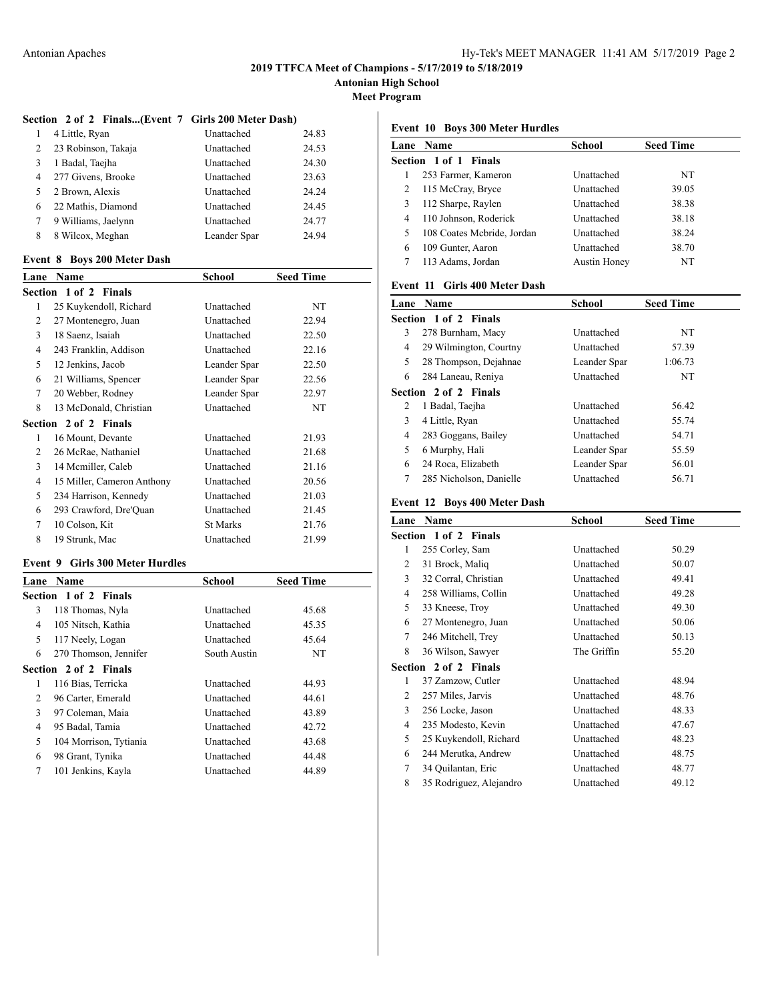**Antonian High School**

**Meet Program**

### **Section 2 of 2 Finals...(Event 7 Girls 200 Meter Dash)**

|                | 4 Little, Ryan      | Unattached   | 24.83 |
|----------------|---------------------|--------------|-------|
| 2              | 23 Robinson, Takaja | Unattached   | 24.53 |
| 3              | 1 Badal, Taejha     | Unattached   | 24.30 |
| $\overline{4}$ | 277 Givens, Brooke  | Unattached   | 23.63 |
| 5              | 2 Brown, Alexis     | Unattached   | 24.24 |
| 6              | 22 Mathis, Diamond  | Unattached   | 24.45 |
|                | 9 Williams, Jaelynn | Unattached   | 24.77 |
| 8              | 8 Wilcox, Meghan    | Leander Spar | 24.94 |

#### **Event 8 Boys 200 Meter Dash**

| Lane | Name                       | School          | <b>Seed Time</b> |
|------|----------------------------|-----------------|------------------|
|      | Section 1 of 2 Finals      |                 |                  |
| 1    | 25 Kuykendoll, Richard     | Unattached      | NT               |
| 2    | 27 Montenegro, Juan        | Unattached      | 22.94            |
| 3    | 18 Saenz, Isaiah           | Unattached      | 22.50            |
| 4    | 243 Franklin, Addison      | Unattached      | 22.16            |
| 5    | 12 Jenkins, Jacob          | Leander Spar    | 22.50            |
| 6    | 21 Williams, Spencer       | Leander Spar    | 22.56            |
| 7    | 20 Webber, Rodney          | Leander Spar    | 22.97            |
| 8    | 13 McDonald, Christian     | Unattached      | NT               |
|      | Section 2 of 2 Finals      |                 |                  |
| 1    | 16 Mount, Devante          | Unattached      | 21.93            |
| 2    | 26 McRae, Nathaniel        | Unattached      | 21.68            |
| 3    | 14 Memiller, Caleb         | Unattached      | 21.16            |
| 4    | 15 Miller, Cameron Anthony | Unattached      | 20.56            |
| 5    | 234 Harrison, Kennedy      | Unattached      | 21.03            |
| 6    | 293 Crawford, Dre'Quan     | Unattached      | 21.45            |
| 7    | 10 Colson, Kit             | <b>St Marks</b> | 21.76            |
| 8    | 19 Strunk, Mac             | Unattached      | 21.99            |

### **Event 9 Girls 300 Meter Hurdles**

| Lane | <b>Name</b>            | <b>School</b> | <b>Seed Time</b> |
|------|------------------------|---------------|------------------|
|      | Section 1 of 2 Finals  |               |                  |
| 3    | 118 Thomas, Nyla       | Unattached    | 45.68            |
| 4    | 105 Nitsch, Kathia     | Unattached    | 45.35            |
| 5    | 117 Neely, Logan       | Unattached    | 45.64            |
| 6    | 270 Thomson, Jennifer  | South Austin  | NT               |
|      | Section 2 of 2 Finals  |               |                  |
| 1    | 116 Bias, Terricka     | Unattached    | 44.93            |
| 2    | 96 Carter, Emerald     | Unattached    | 44.61            |
| 3    | 97 Coleman, Maia       | Unattached    | 43.89            |
| 4    | 95 Badal, Tamia        | Unattached    | 42.72            |
| 5    | 104 Morrison, Tytiania | Unattached    | 43.68            |
| 6    | 98 Grant, Tynika       | Unattached    | 44.48            |
| 7    | 101 Jenkins, Kayla     | Unattached    | 44.89            |

# **Event 10 Boys 300 Meter Hurdles**

|   | Lane Name                  | School              | <b>Seed Time</b> |  |
|---|----------------------------|---------------------|------------------|--|
|   | Section 1 of 1 Finals      |                     |                  |  |
|   | 253 Farmer, Kameron        | Unattached          | NT               |  |
| 2 | 115 McCray, Bryce          | Unattached          | 39.05            |  |
| 3 | 112 Sharpe, Raylen         | Unattached          | 38.38            |  |
| 4 | 110 Johnson, Roderick      | Unattached          | 38.18            |  |
| 5 | 108 Coates Mcbride, Jordan | Unattached          | 38.24            |  |
| 6 | 109 Gunter, Aaron          | Unattached          | 38.70            |  |
|   | 113 Adams, Jordan          | <b>Austin Honey</b> | NT               |  |
|   |                            |                     |                  |  |

# **Event 11 Girls 400 Meter Dash**

|   | <b>Lane Name</b>             | School       | <b>Seed Time</b> |
|---|------------------------------|--------------|------------------|
|   | <b>Section 1 of 2 Finals</b> |              |                  |
| 3 | 278 Burnham, Macy            | Unattached   | NT               |
| 4 | 29 Wilmington, Courtny       | Unattached   | 57.39            |
| 5 | 28 Thompson, Dejahnae        | Leander Spar | 1:06.73          |
| 6 | 284 Laneau, Reniya           | Unattached   | NT               |
|   | <b>Section 2 of 2 Finals</b> |              |                  |
| 2 | 1 Badal, Taejha              | Unattached   | 56.42            |
| 3 | 4 Little, Ryan               | Unattached   | 55.74            |
| 4 | 283 Goggans, Bailey          | Unattached   | 54.71            |
| 5 | 6 Murphy, Hali               | Leander Spar | 55.59            |
| 6 | 24 Roca, Elizabeth           | Leander Spar | 56.01            |
| 7 | 285 Nicholson, Danielle      | Unattached   | 56.71            |

#### **Event 12 Boys 400 Meter Dash**

| Lane           | Name                    | School      | <b>Seed Time</b> |  |
|----------------|-------------------------|-------------|------------------|--|
|                | Section 1 of 2 Finals   |             |                  |  |
| 1              | 255 Corley, Sam         | Unattached  | 50.29            |  |
| $\overline{c}$ | 31 Brock, Maliq         | Unattached  | 50.07            |  |
| 3              | 32 Corral, Christian    | Unattached  | 49.41            |  |
| 4              | 258 Williams, Collin    | Unattached  | 49.28            |  |
| 5              | 33 Kneese, Troy         | Unattached  | 49.30            |  |
| 6              | 27 Montenegro, Juan     | Unattached  | 50.06            |  |
| 7              | 246 Mitchell, Trey      | Unattached  | 50.13            |  |
| 8              | 36 Wilson, Sawyer       | The Griffin | 55.20            |  |
|                | Section 2 of 2 Finals   |             |                  |  |
| 1              | 37 Zamzow, Cutler       | Unattached  | 48.94            |  |
| 2              | 257 Miles, Jarvis       | Unattached  | 48.76            |  |
| 3              | 256 Locke, Jason        | Unattached  | 48.33            |  |
| 4              | 235 Modesto, Kevin      | Unattached  | 47.67            |  |
| 5              | 25 Kuykendoll, Richard  | Unattached  | 48.23            |  |
| 6              | 244 Merutka, Andrew     | Unattached  | 48.75            |  |
| 7              | 34 Quilantan, Eric      | Unattached  | 48.77            |  |
| 8              | 35 Rodriguez, Alejandro | Unattached  | 49.12            |  |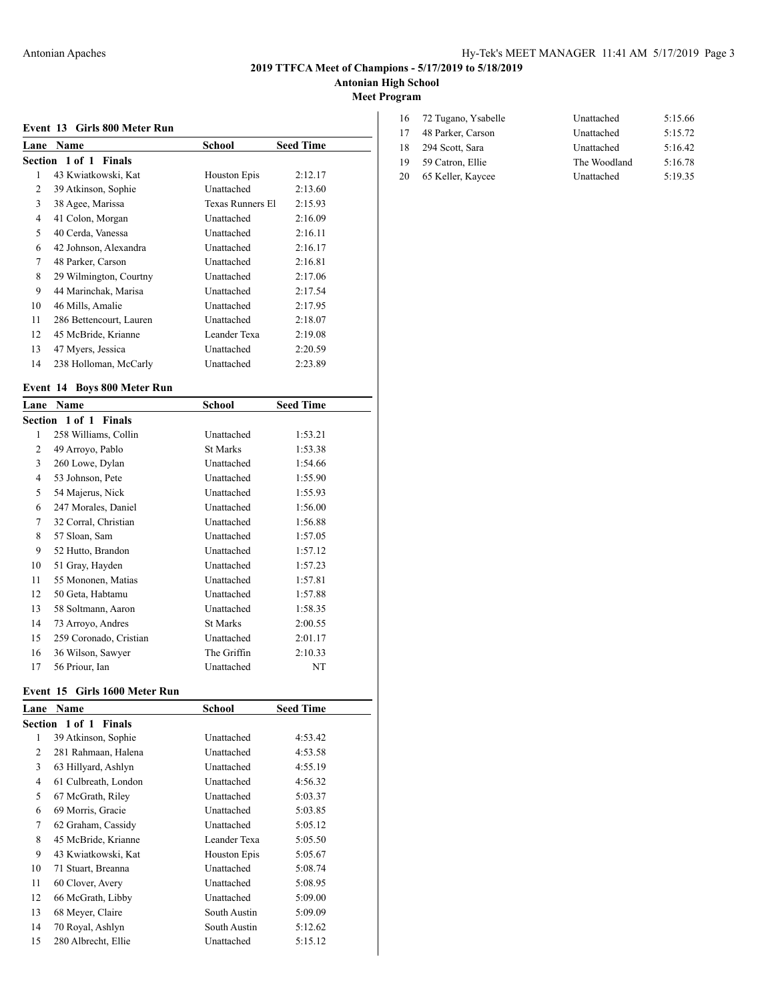# **Antonian High School**

**Meet Program**

|  |  |  |  | Event 13 Girls 800 Meter Run |  |
|--|--|--|--|------------------------------|--|
|--|--|--|--|------------------------------|--|

|      | EVEIIL 19 UIITS OUU MEIEI RUII |                     |                  |
|------|--------------------------------|---------------------|------------------|
| Lane | Name                           | School              | <b>Seed Time</b> |
|      | Section 1 of 1 Finals          |                     |                  |
| 1    | 43 Kwiatkowski, Kat            | <b>Houston Epis</b> | 2:12.17          |
| 2    | 39 Atkinson, Sophie            | Unattached          | 2:13.60          |
| 3    | 38 Agee, Marissa               | Texas Runners El    | 2:15.93          |
| 4    | 41 Colon, Morgan               | Unattached          | 2:16.09          |
| 5    | 40 Cerda, Vanessa              | Unattached          | 2:16.11          |
| 6    | 42 Johnson, Alexandra          | Unattached          | 2:16.17          |
| 7    | 48 Parker, Carson              | Unattached          | 2:16.81          |
| 8    | 29 Wilmington, Courtny         | Unattached          | 2:17.06          |
| 9    | 44 Marinchak, Marisa           | Unattached          | 2:17.54          |
| 10   | 46 Mills, Amalie               | Unattached          | 2:17.95          |
| 11   | 286 Bettencourt, Lauren        | Unattached          | 2:18.07          |
| 12   | 45 McBride, Krianne            | Leander Texa        | 2:19.08          |
| 13   | 47 Myers, Jessica              | Unattached          | 2:20.59          |
| 14   | 238 Holloman, McCarly          | Unattached          | 2:23.89          |
|      |                                |                     |                  |

### **Event 14 Boys 800 Meter Run**

|                | Lane Name              | School          | <b>Seed Time</b> |
|----------------|------------------------|-----------------|------------------|
|                | Section 1 of 1 Finals  |                 |                  |
| 1              | 258 Williams, Collin   | Unattached      | 1:53.21          |
| 2              | 49 Arroyo, Pablo       | <b>St Marks</b> | 1:53.38          |
| 3              | 260 Lowe, Dylan        | Unattached      | 1:54.66          |
| $\overline{4}$ | 53 Johnson, Pete       | Unattached      | 1:55.90          |
| 5              | 54 Majerus, Nick       | Unattached      | 1:55.93          |
| 6              | 247 Morales, Daniel    | Unattached      | 1:56.00          |
| 7              | 32 Corral, Christian   | Unattached      | 1:56.88          |
| 8              | 57 Sloan, Sam          | Unattached      | 1:57.05          |
| 9              | 52 Hutto, Brandon      | Unattached      | 1:57.12          |
| 10             | 51 Gray, Hayden        | Unattached      | 1:57.23          |
| 11             | 55 Mononen, Matias     | Unattached      | 1:57.81          |
| 12             | 50 Geta, Habtamu       | Unattached      | 1:57.88          |
| 13             | 58 Soltmann, Aaron     | Unattached      | 1:58.35          |
| 14             | 73 Arroyo, Andres      | <b>St Marks</b> | 2:00.55          |
| 15             | 259 Coronado, Cristian | Unattached      | 2:01.17          |
| 16             | 36 Wilson, Sawyer      | The Griffin     | 2:10.33          |
| 17             | 56 Priour, Ian         | Unattached      | NT               |

#### **Event 15 Girls 1600 Meter Run**

| Lane | Name                  | School       | <b>Seed Time</b> |
|------|-----------------------|--------------|------------------|
|      | Section 1 of 1 Finals |              |                  |
| 1    | 39 Atkinson, Sophie   | Unattached   | 4:53.42          |
| 2    | 281 Rahmaan, Halena   | Unattached   | 4:53.58          |
| 3    | 63 Hillyard, Ashlyn   | Unattached   | 4:55.19          |
| 4    | 61 Culbreath, London  | Unattached   | 4:56.32          |
| 5    | 67 McGrath, Riley     | Unattached   | 5:03.37          |
| 6    | 69 Morris, Gracie     | Unattached   | 5:03.85          |
| 7    | 62 Graham, Cassidy    | Unattached   | 5:05.12          |
| 8    | 45 McBride, Krianne   | Leander Texa | 5:05.50          |
| 9    | 43 Kwiatkowski, Kat   | Houston Epis | 5:05.67          |
| 10   | 71 Stuart, Breanna    | Unattached   | 5:08.74          |
| 11   | 60 Clover, Avery      | Unattached   | 5:08.95          |
| 12   | 66 McGrath, Libby     | Unattached   | 5:09.00          |
| 13   | 68 Meyer, Claire      | South Austin | 5:09.09          |
| 14   | 70 Royal, Ashlyn      | South Austin | 5:12.62          |
| 15   | 280 Albrecht, Ellie   | Unattached   | 5:15.12          |
|      |                       |              |                  |

|    | 16 72 Tugano, Ysabelle | Unattached   | 5:15.66 |
|----|------------------------|--------------|---------|
|    | 48 Parker, Carson      | Unattached   | 5:15.72 |
| 18 | 294 Scott, Sara        | Unattached   | 5:16.42 |
| 19 | 59 Catron, Ellie       | The Woodland | 5:16.78 |
| 20 | 65 Keller, Kaycee      | Unattached   | 5:19.35 |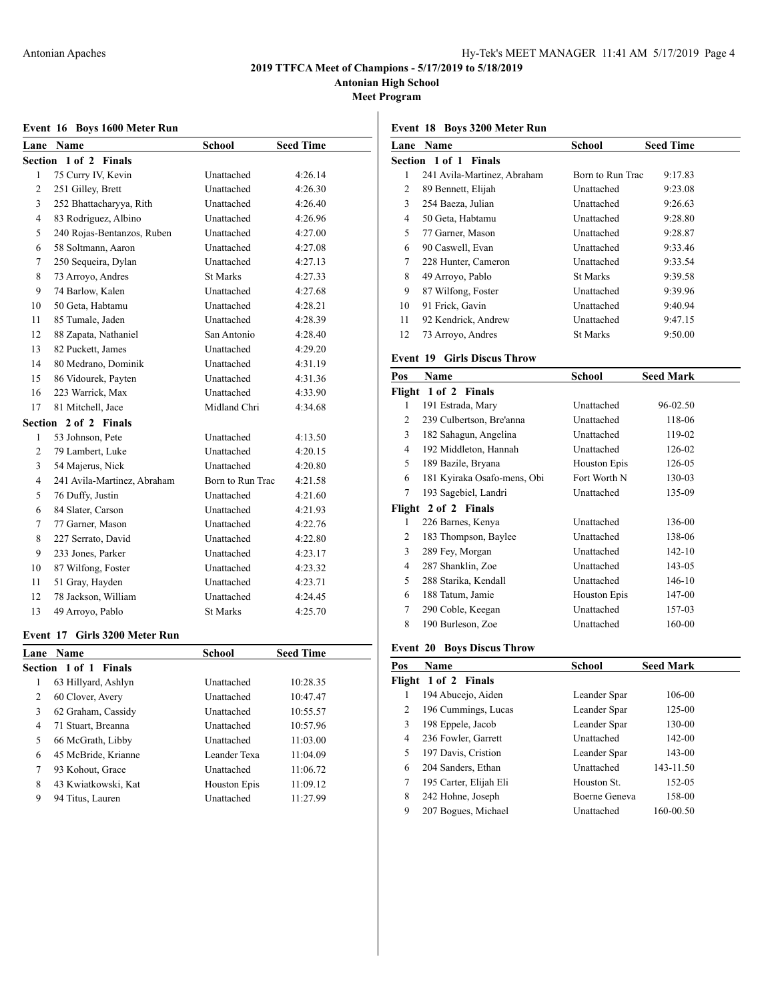**Antonian High School**

**Meet Program**

### **Event 16 Boys 1600 Meter Run**

| Lane           | Name                        | School           | <b>Seed Time</b> |
|----------------|-----------------------------|------------------|------------------|
| Section        | $1$ of $2$<br><b>Finals</b> |                  |                  |
| $\mathbf{1}$   | 75 Curry IV, Kevin          | Unattached       | 4:26.14          |
| 2              | 251 Gilley, Brett           | Unattached       | 4:26.30          |
| 3              | 252 Bhattacharyya, Rith     | Unattached       | 4:26.40          |
| $\overline{4}$ | 83 Rodriguez, Albino        | Unattached       | 4:26.96          |
| 5              | 240 Rojas-Bentanzos, Ruben  | Unattached       | 4:27.00          |
| 6              | 58 Soltmann, Aaron          | Unattached       | 4:27.08          |
| 7              | 250 Sequeira, Dylan         | Unattached       | 4:27.13          |
| 8              | 73 Arroyo, Andres           | <b>St Marks</b>  | 4:27.33          |
| 9              | 74 Barlow, Kalen            | Unattached       | 4:27.68          |
| 10             | 50 Geta, Habtamu            | Unattached       | 4:28.21          |
| 11             | 85 Tumale, Jaden            | Unattached       | 4:28.39          |
| 12             | 88 Zapata, Nathaniel        | San Antonio      | 4:28.40          |
| 13             | 82 Puckett, James           | Unattached       | 4:29.20          |
| 14             | 80 Medrano, Dominik         | Unattached       | 4:31.19          |
| 15             | 86 Vidourek, Payten         | Unattached       | 4:31.36          |
| 16             | 223 Warrick, Max            | Unattached       | 4:33.90          |
| 17             | 81 Mitchell, Jace           | Midland Chri     | 4:34.68          |
| Section        | 2 of 2 Finals               |                  |                  |
| $\mathbf{1}$   | 53 Johnson, Pete            | Unattached       | 4:13.50          |
| 2              | 79 Lambert, Luke            | Unattached       | 4:20.15          |
| 3              | 54 Majerus, Nick            | Unattached       | 4:20.80          |
| $\overline{4}$ | 241 Avila-Martinez, Abraham | Born to Run Trac | 4:21.58          |
| 5              | 76 Duffy, Justin            | Unattached       | 4:21.60          |
| 6              | 84 Slater, Carson           | Unattached       | 4:21.93          |
| $\tau$         | 77 Garner, Mason            | Unattached       | 4:22.76          |
| 8              | 227 Serrato, David          | Unattached       | 4:22.80          |
| 9              | 233 Jones, Parker           | Unattached       | 4:23.17          |
| 10             | 87 Wilfong, Foster          | Unattached       | 4:23.32          |
| 11             | 51 Gray, Hayden             | Unattached       | 4:23.71          |
| 12             | 78 Jackson, William         | Unattached       | 4:24.45          |
| 13             | 49 Arroyo, Pablo            | <b>St Marks</b>  | 4:25.70          |

#### **Event 17 Girls 3200 Meter Run**

| Lane | <b>Name</b>                     | <b>School</b>       | <b>Seed Time</b> |  |
|------|---------------------------------|---------------------|------------------|--|
|      | Section 1 of 1<br><b>Finals</b> |                     |                  |  |
| 1    | 63 Hillyard, Ashlyn             | Unattached          | 10:28.35         |  |
| 2    | 60 Clover, Avery                | Unattached          | 10:47.47         |  |
| 3    | 62 Graham, Cassidy              | Unattached          | 10:55.57         |  |
| 4    | 71 Stuart, Breanna              | Unattached          | 10:57.96         |  |
| 5    | 66 McGrath, Libby               | Unattached          | 11:03.00         |  |
| 6    | 45 McBride, Krianne             | Leander Texa        | 11:04.09         |  |
| 7    | 93 Kohout, Grace                | Unattached          | 11:06.72         |  |
| 8    | 43 Kwiatkowski, Kat             | <b>Houston Epis</b> | 11:09.12         |  |
| 9    | 94 Titus, Lauren                | Unattached          | 11:27.99         |  |
|      |                                 |                     |                  |  |

### **Event 18 Boys 3200 Meter Run**

| Lane | <b>Name</b>                 | School           | <b>Seed Time</b> |
|------|-----------------------------|------------------|------------------|
|      | Section 1 of 1 Finals       |                  |                  |
| 1    | 241 Avila-Martinez, Abraham | Born to Run Trac | 9:17.83          |
| 2    | 89 Bennett, Elijah          | Unattached       | 9:23.08          |
| 3    | 254 Baeza, Julian           | Unattached       | 9:26.63          |
| 4    | 50 Geta, Habtamu            | Unattached       | 9:28.80          |
| 5    | 77 Garner, Mason            | Unattached       | 9:28.87          |
| 6    | 90 Caswell, Evan            | Unattached       | 9:33.46          |
| 7    | 228 Hunter, Cameron         | Unattached       | 9:33.54          |
| 8    | 49 Arroyo, Pablo            | <b>St Marks</b>  | 9:39.58          |
| 9    | 87 Wilfong, Foster          | Unattached       | 9:39.96          |
| 10   | 91 Frick, Gavin             | Unattached       | 9:40.94          |
| 11   | 92 Kendrick, Andrew         | Unattached       | 9:47.15          |
| 12   | 73 Arroyo, Andres           | <b>St Marks</b>  | 9:50.00          |

### **Event 19 Girls Discus Throw**

| Pos            | Name                        | School              | <b>Seed Mark</b> |
|----------------|-----------------------------|---------------------|------------------|
|                | Flight 1 of 2 Finals        |                     |                  |
| 1              | 191 Estrada, Mary           | Unattached          | 96-02.50         |
| 2              | 239 Culbertson, Bre'anna    | Unattached          | 118-06           |
| 3              | 182 Sahagun, Angelina       | Unattached          | 119-02           |
| $\overline{4}$ | 192 Middleton, Hannah       | Unattached          | 126-02           |
| 5              | 189 Bazile, Bryana          | <b>Houston Epis</b> | 126-05           |
| 6              | 181 Kyiraka Osafo-mens, Obi | Fort Worth N        | 130-03           |
| 7              | 193 Sagebiel, Landri        | Unattached          | 135-09           |
|                | Flight 2 of 2 Finals        |                     |                  |
| 1              | 226 Barnes, Kenya           | Unattached          | 136-00           |
| 2              | 183 Thompson, Baylee        | Unattached          | 138-06           |
| 3              | 289 Fey, Morgan             | Unattached          | 142-10           |
| 4              | 287 Shanklin, Zoe           | Unattached          | 143-05           |
| 5              | 288 Starika, Kendall        | Unattached          | 146-10           |
| 6              | 188 Tatum, Jamie            | <b>Houston Epis</b> | 147-00           |
| 7              | 290 Coble, Keegan           | Unattached          | 157-03           |
| 8              | 190 Burleson, Zoe           | Unattached          | 160-00           |

### **Event 20 Boys Discus Throw**

| Pos | Name                   | School        | <b>Seed Mark</b> |
|-----|------------------------|---------------|------------------|
|     | Flight 1 of 2 Finals   |               |                  |
| 1   | 194 Abucejo, Aiden     | Leander Spar  | 106-00           |
| 2   | 196 Cummings, Lucas    | Leander Spar  | 125-00           |
| 3   | 198 Eppele, Jacob      | Leander Spar  | 130-00           |
| 4   | 236 Fowler, Garrett    | Unattached    | 142-00           |
| 5   | 197 Davis, Cristion    | Leander Spar  | 143-00           |
| 6   | 204 Sanders, Ethan     | Unattached    | 143-11.50        |
| 7   | 195 Carter, Elijah Eli | Houston St.   | 152-05           |
| 8   | 242 Hohne, Joseph      | Boerne Geneva | 158-00           |
| 9   | 207 Bogues, Michael    | Unattached    | 160-00.50        |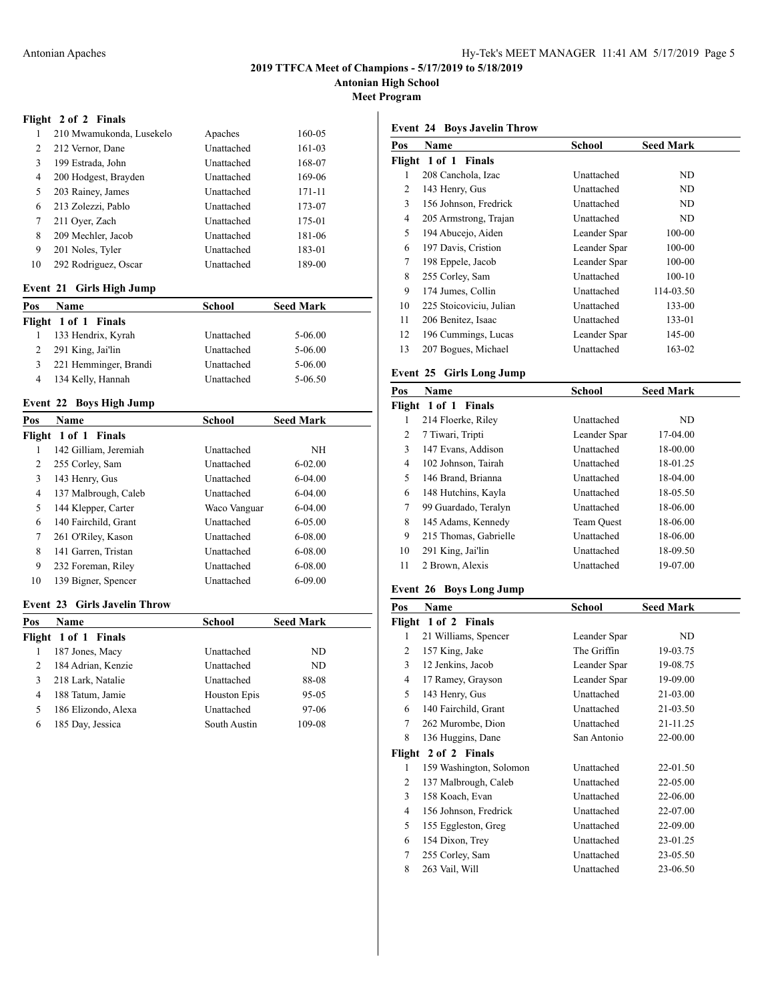**Antonian High School**

**Meet Program**

### **Flight 2 of 2 Finals**

| 1  | 210 Mwamukonda, Lusekelo | Apaches    | 160-05 |  |
|----|--------------------------|------------|--------|--|
| 2  | 212 Vernor, Dane         | Unattached | 161-03 |  |
| 3  | 199 Estrada, John        | Unattached | 168-07 |  |
| 4  | 200 Hodgest, Brayden     | Unattached | 169-06 |  |
| 5  | 203 Rainey, James        | Unattached | 171-11 |  |
| 6  | 213 Zolezzi, Pablo       | Unattached | 173-07 |  |
| 7  | 211 Over, Zach           | Unattached | 175-01 |  |
| 8  | 209 Mechler, Jacob       | Unattached | 181-06 |  |
| 9  | 201 Noles, Tyler         | Unattached | 183-01 |  |
| 10 | 292 Rodriguez, Oscar     | Unattached | 189-00 |  |

### **Event 21 Girls High Jump**

| Pos | <b>Name</b>           | <b>School</b> | <b>Seed Mark</b> |  |  |
|-----|-----------------------|---------------|------------------|--|--|
|     | Flight 1 of 1 Finals  |               |                  |  |  |
|     | 133 Hendrix, Kyrah    | Unattached    | 5-06.00          |  |  |
| 2   | 291 King, Jai'lin     | Unattached    | 5-06.00          |  |  |
|     | 221 Hemminger, Brandi | Unattached    | 5-06.00          |  |  |
| 4   | 134 Kelly, Hannah     | Unattached    | 5-06.50          |  |  |

### **Event 22 Boys High Jump**

| Pos | <b>Name</b>           | School       | <b>Seed Mark</b> |  |
|-----|-----------------------|--------------|------------------|--|
|     | Flight 1 of 1 Finals  |              |                  |  |
| 1   | 142 Gilliam, Jeremiah | Unattached   | NH               |  |
| 2   | 255 Corley, Sam       | Unattached   | $6 - 02.00$      |  |
| 3   | 143 Henry, Gus        | Unattached   | $6-04.00$        |  |
| 4   | 137 Malbrough, Caleb  | Unattached   | $6-04.00$        |  |
| 5   | 144 Klepper, Carter   | Waco Vanguar | $6-04.00$        |  |
| 6   | 140 Fairchild, Grant  | Unattached   | $6 - 05.00$      |  |
| 7   | 261 O'Riley, Kason    | Unattached   | $6 - 08.00$      |  |
| 8   | 141 Garren, Tristan   | Unattached   | $6 - 08.00$      |  |
| 9   | 232 Foreman, Riley    | Unattached   | $6 - 08.00$      |  |
| 10  | 139 Bigner, Spencer   | Unattached   | $6 - 09.00$      |  |
|     |                       |              |                  |  |

### **Event 23 Girls Javelin Throw**

| Pos | <b>Name</b>          | School       | <b>Seed Mark</b> |  |
|-----|----------------------|--------------|------------------|--|
|     | Flight 1 of 1 Finals |              |                  |  |
|     | 187 Jones, Macy      | Unattached   | ND               |  |
| 2   | 184 Adrian, Kenzie   | Unattached   | ND               |  |
| 3   | 218 Lark, Natalie    | Unattached   | 88-08            |  |
| 4   | 188 Tatum, Jamie     | Houston Epis | 95-05            |  |
| 5   | 186 Elizondo, Alexa  | Unattached   | 97-06            |  |
| 6   | 185 Day, Jessica     | South Austin | 109-08           |  |

### **Event 24 Boys Javelin Throw**

| Pos    | Name                     | <b>School</b> | <b>Seed Mark</b> |
|--------|--------------------------|---------------|------------------|
| Flight | 1 of 1 Finals            |               |                  |
| 1      | 208 Canchola, Izac       | Unattached    | ND               |
| 2      | 143 Henry, Gus           | Unattached    | ND               |
| 3      | 156 Johnson, Fredrick    | Unattached    | ND               |
| 4      | 205 Armstrong, Trajan    | Unattached    | ND               |
| 5      | 194 Abucejo, Aiden       | Leander Spar  | 100-00           |
| 6      | 197 Davis, Cristion      | Leander Spar  | 100-00           |
| 7      | 198 Eppele, Jacob        | Leander Spar  | 100-00           |
| 8      | 255 Corley, Sam          | Unattached    | $100 - 10$       |
| 9      | 174 Jumes, Collin        | Unattached    | 114-03.50        |
| 10     | 225 Stoicoviciu, Julian  | Unattached    | 133-00           |
| 11     | 206 Benitez, Isaac       | Unattached    | 133-01           |
| 12     | 196 Cummings, Lucas      | Leander Spar  | 145-00           |
| 13     | 207 Bogues, Michael      | Unattached    | 163-02           |
|        | Fvant 25 Cirls Long Jumn |               |                  |

### **Event 25 Girls Long Jump**

| Pos | <b>Name</b>           | School       | <b>Seed Mark</b> |
|-----|-----------------------|--------------|------------------|
|     | Flight 1 of 1 Finals  |              |                  |
| 1   | 214 Floerke, Riley    | Unattached   | ND               |
| 2   | 7 Tiwari, Tripti      | Leander Spar | 17-04.00         |
| 3   | 147 Evans, Addison    | Unattached   | 18-00.00         |
| 4   | 102 Johnson, Tairah   | Unattached   | 18-01.25         |
| 5   | 146 Brand, Brianna    | Unattached   | 18-04.00         |
| 6   | 148 Hutchins, Kayla   | Unattached   | 18-05.50         |
| 7   | 99 Guardado, Teralyn  | Unattached   | 18-06.00         |
| 8   | 145 Adams, Kennedy    | Team Ouest   | 18-06.00         |
| 9   | 215 Thomas, Gabrielle | Unattached   | 18-06.00         |
| 10  | 291 King, Jai'lin     | Unattached   | 18-09.50         |
| 11  | 2 Brown, Alexis       | Unattached   | 19-07.00         |
|     |                       |              |                  |

### **Event 26 Boys Long Jump**

| Pos | <b>Name</b>             | School       | <b>Seed Mark</b> |
|-----|-------------------------|--------------|------------------|
|     | Flight 1 of 2 Finals    |              |                  |
| 1   | 21 Williams, Spencer    | Leander Spar | ND               |
| 2   | 157 King, Jake          | The Griffin  | 19-03.75         |
| 3   | 12 Jenkins, Jacob       | Leander Spar | 19-08.75         |
| 4   | 17 Ramey, Grayson       | Leander Spar | 19-09.00         |
| 5   | 143 Henry, Gus          | Unattached   | 21-03.00         |
| 6   | 140 Fairchild, Grant    | Unattached   | 21-03.50         |
| 7   | 262 Murombe, Dion       | Unattached   | 21-11.25         |
| 8   | 136 Huggins, Dane       | San Antonio  | 22-00.00         |
|     | Flight 2 of 2 Finals    |              |                  |
| 1   | 159 Washington, Solomon | Unattached   | 22-01.50         |
| 2   | 137 Malbrough, Caleb    | Unattached   | 22-05.00         |
| 3   | 158 Koach, Evan         | Unattached   | 22-06.00         |
| 4   | 156 Johnson, Fredrick   | Unattached   | 22-07.00         |
| 5   | 155 Eggleston, Greg     | Unattached   | 22-09.00         |
| 6   | 154 Dixon, Trey         | Unattached   | 23-01.25         |
| 7   | 255 Corley, Sam         | Unattached   | 23-05.50         |
| 8   | 263 Vail, Will          | Unattached   | 23-06.50         |